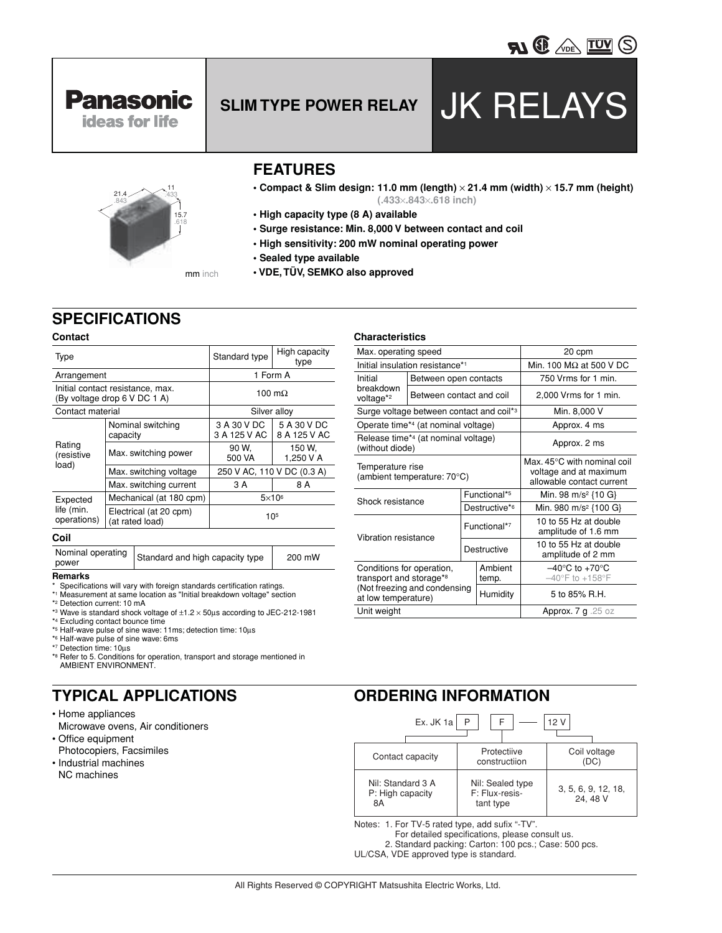



**Panasonic ideas for life** 

# **FEATURES**

- **Compact & Slim design: 11.0 mm (length)** × **21.4 mm (width)** × **15.7 mm (height) (.433**×**.843**×**.618 inch)**
- **High capacity type (8 A) available**
- **Surge resistance: Min. 8,000 V between contact and coil**
- **High sensitivity: 200 mW nominal operating power**
- **Sealed type available**
- **VDE, TÜV, SEMKO also approved**

# **SPECIFICATIONS**

### **Contact**

| Type                                  |                                                                                    | Standard type               | High capacity<br>type       |
|---------------------------------------|------------------------------------------------------------------------------------|-----------------------------|-----------------------------|
| Arrangement                           |                                                                                    | 1 Form A                    |                             |
|                                       | Initial contact resistance, max.<br>100 m $\Omega$<br>(By voltage drop 6 V DC 1 A) |                             |                             |
| Contact material                      |                                                                                    | Silver alloy                |                             |
| Rating<br>(resistive<br>load)         | Nominal switching<br>capacity                                                      | 3 A 30 V DC<br>3 A 125 V AC | 5 A 30 V DC<br>8 A 125 V AC |
|                                       | Max. switching power                                                               | 90 W.<br>500 VA             | 150 W.<br>1.250 V A         |
|                                       | Max. switching voltage                                                             | 250 V AC, 110 V DC (0.3 A)  |                             |
|                                       | Max. switching current                                                             | 3 A                         | 8 A                         |
| Expected<br>life (min.<br>operations) | Mechanical (at 180 cpm)                                                            | $5\times10^6$               |                             |
|                                       | Electrical (at 20 cpm)<br>(at rated load)                                          | 105                         |                             |

### **Coil**

Nominal operating Standard and high capacity type 200 mW

### **Remarks**

- Specifications will vary with foreign standards certification ratings.
- \*1 Measurement at same location as "Initial breakdown voltage" section
- \*2 Detection current: 10 mA
- \*3 Wave is standard shock voltage of  $\pm 1.2 \times 50$ µs according to JEC-212-1981 \*4 Excluding contact bounce time
- \*5 Half-wave pulse of sine wave: 11ms; detection time: 10µs
- \*6 Half-wave pulse of sine wave: 6ms
- \*7 Detection time: 10µs
- \*8 Refer to 5. Conditions for operation, transport and storage mentioned in AMBIENT ENVIRONMENT.

# **TYPICAL APPLICATIONS**

- Home appliances Microwave ovens, Air conditioners
- Office equipment Photocopiers, Facsimiles
- Industrial machines NC machines

### **Characteristics**

| Max. operating speed                                                                                        |                                             |                         | 20 cpm                                                                                       |                                              |  |  |
|-------------------------------------------------------------------------------------------------------------|---------------------------------------------|-------------------------|----------------------------------------------------------------------------------------------|----------------------------------------------|--|--|
|                                                                                                             | Initial insulation resistance* <sup>1</sup> |                         |                                                                                              | Min. 100 $M\Omega$ at 500 V DC               |  |  |
| Initial                                                                                                     | Between open contacts                       |                         |                                                                                              | 750 Vrms for 1 min.                          |  |  |
| breakdown<br>voltage <sup>*2</sup>                                                                          | Between contact and coil                    |                         |                                                                                              | 2,000 Vrms for 1 min.                        |  |  |
| Surge voltage between contact and coil*3                                                                    |                                             |                         | Min. 8,000 V                                                                                 |                                              |  |  |
|                                                                                                             | Operate time*4 (at nominal voltage)         |                         |                                                                                              | Approx. 4 ms                                 |  |  |
| Release time*4 (at nominal voltage)<br>(without diode)                                                      |                                             |                         | Approx. 2 ms                                                                                 |                                              |  |  |
| Temperature rise<br>(ambient temperature: 70°C)                                                             |                                             |                         | Max, $45^{\circ}$ C with nominal coil<br>voltage and at maximum<br>allowable contact current |                                              |  |  |
| Shock resistance                                                                                            |                                             | Functional*5            |                                                                                              | Min. 98 m/s <sup>2</sup> {10 G}              |  |  |
|                                                                                                             |                                             | Destructive*6           |                                                                                              | Min. 980 m/s <sup>2</sup> {100 G}            |  |  |
| Vibration resistance                                                                                        |                                             | Functional*7            |                                                                                              | 10 to 55 Hz at double<br>amplitude of 1.6 mm |  |  |
|                                                                                                             |                                             | Destructive             |                                                                                              | 10 to 55 Hz at double<br>amplitude of 2 mm   |  |  |
| Conditions for operation,<br>transport and storage*8<br>(Not freezing and condensing<br>at low temperature) |                                             | Ambient<br>temp.        | $-40^{\circ}$ C to $+70^{\circ}$ C<br>$-40^{\circ}$ F to $+158^{\circ}$ F                    |                                              |  |  |
|                                                                                                             |                                             | Humidity                | 5 to 85% R.H.                                                                                |                                              |  |  |
| Unit weight                                                                                                 |                                             | Approx. $7 g$ . $25 oz$ |                                                                                              |                                              |  |  |

## **ORDERING INFORMATION**

| Ex. JK 1a<br>P<br>F<br>12 V                 |                                                 |                                |  |  |
|---------------------------------------------|-------------------------------------------------|--------------------------------|--|--|
| Contact capacity                            | Protectiive<br>constructiion                    | Coil voltage<br>(DC)           |  |  |
| Nil: Standard 3 A<br>P: High capacity<br>8A | Nil: Sealed type<br>F: Flux-resis-<br>tant type | 3, 5, 6, 9, 12, 18,<br>24.48 V |  |  |

Notes: 1. For TV-5 rated type, add sufix "-TV".

- For detailed specifications, please consult us.
- 2. Standard packing: Carton: 100 pcs.; Case: 500 pcs.
- UL/CSA, VDE approved type is standard.

# **SLIM TYPE POWER RELAY** JK RELAYS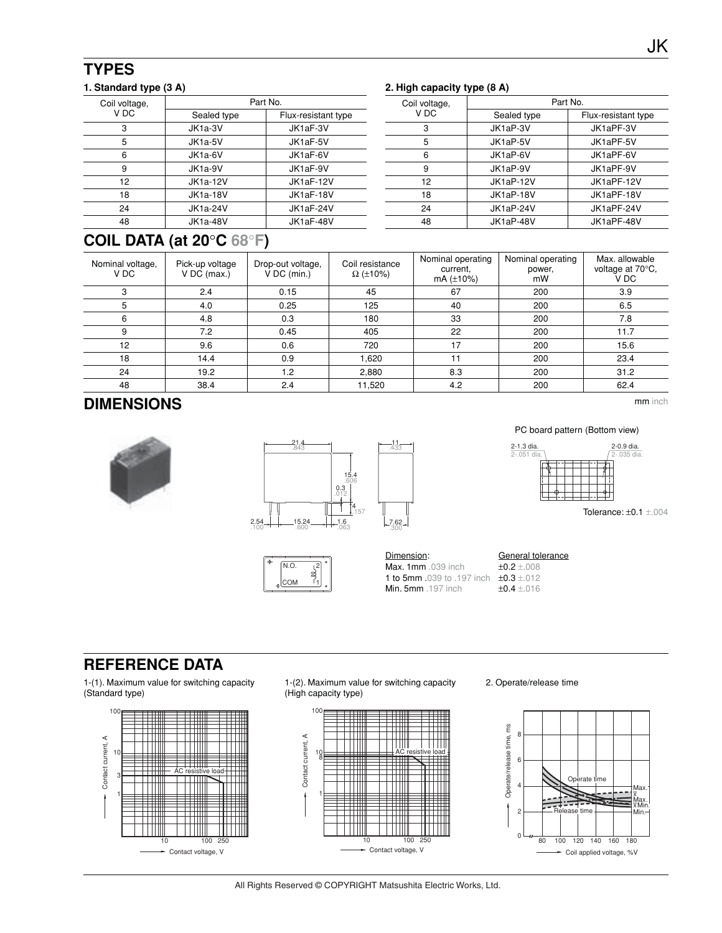| Coil voltage,     | Part No.             |                     |  |  |
|-------------------|----------------------|---------------------|--|--|
| V DC              | Sealed type          | Flux-resistant type |  |  |
| 3                 | JK1a-3V              | JK1aF-3V            |  |  |
| 5                 | JK <sub>1a-5</sub> V | JK1aF-5V            |  |  |
| 6                 | JK1a-6V              | JK1aF-6V            |  |  |
| 9                 | JK1a-9V              | JK1aF-9V            |  |  |
| $12 \overline{ }$ | <b>JK1a-12V</b>      | JK1aF-12V           |  |  |
| 18                | <b>JK1a-18V</b>      | JK1aF-18V           |  |  |
| 24                | <b>JK1a-24V</b>      | JK1aF-24V           |  |  |
| 48                | <b>JK1a-48V</b>      | JK1aF-48V           |  |  |

### **1. Standard type (3 A) 2. High capacity type (8 A)**

| Coil voltage,<br>V DC | Part No.    |                     |  |  |
|-----------------------|-------------|---------------------|--|--|
|                       | Sealed type | Flux-resistant type |  |  |
| 3                     | JK1aP-3V    | JK1aPF-3V           |  |  |
| 5                     | JK1aP-5V    | JK1aPF-5V           |  |  |
| 6                     | JK1aP-6V    | JK1aPF-6V           |  |  |
| 9                     | JK1aP-9V    | JK1aPF-9V           |  |  |
| 12                    | JK1aP-12V   | JK1aPF-12V          |  |  |
| 18                    | JK1aP-18V   | JK1aPF-18V          |  |  |
| 24                    | JK1aP-24V   | JK1aPF-24V          |  |  |
| 48                    | JK1aP-48V   | JK1aPF-48V          |  |  |
|                       |             |                     |  |  |

# **COIL DATA (at 20**°**C 68**°**F)**

| Nominal voltage,<br>V DC | Pick-up voltage<br>$V$ DC (max.) | Drop-out voltage,<br>V DC (min.) | Coil resistance<br>$\Omega$ (±10%) | Nominal operating<br>current.<br>$mA (\pm 10\%)$ | Nominal operating<br>power,<br>mW | Max. allowable<br>voltage at 70°C,<br>V DC |
|--------------------------|----------------------------------|----------------------------------|------------------------------------|--------------------------------------------------|-----------------------------------|--------------------------------------------|
| 3                        | 2.4                              | 0.15                             | 45                                 | 67                                               | 200                               | 3.9                                        |
| 5                        | 4.0                              | 0.25                             | 125                                | 40                                               | 200                               | 6.5                                        |
| 6                        | 4.8                              | 0.3                              | 180                                | 33                                               | 200                               | 7.8                                        |
| 9                        | 7.2                              | 0.45                             | 405                                | 22                                               | 200                               | 11.7                                       |
| 12                       | 9.6                              | 0.6                              | 720                                | 17                                               | 200                               | 15.6                                       |
| 18                       | 14.4                             | 0.9                              | 1.620                              | 11                                               | 200                               | 23.4                                       |
| 24                       | 19.2                             | 1.2                              | 2.880                              | 8.3                                              | 200                               | 31.2                                       |
| 48                       | 38.4                             | 2.4                              | 11,520                             | 4.2                                              | 200                               | 62.4                                       |

 $\overline{a}$  $\overline{a}$  $\overline{a}$ 

> 11 .433

.300

# **DIMENSIONS**







### PC board pattern (Bottom view)



Tolerance: ±0.1 ±.004

**Dimension:** General tolerance<br> **Max. 1mm** .039 inch<br>  $\pm 0.2 \pm .008$ Max. 1mm .039 inch 1 to 5mm .039 to .197 inch  $\pm 0.3 \pm 012$ <br>Min. 5mm .197 inch  $\pm 0.4 \pm 016$ **Min. 5mm** .197 inch

.051

# **REFERENCE DATA**

1-(1). Maximum value for switching capacity (Standard type)



1-(2). Maximum value for switching capacity (High capacity type)



2. Operate/release time



All Rights Reserved © COPYRIGHT Matsushita Electric Works, Ltd.